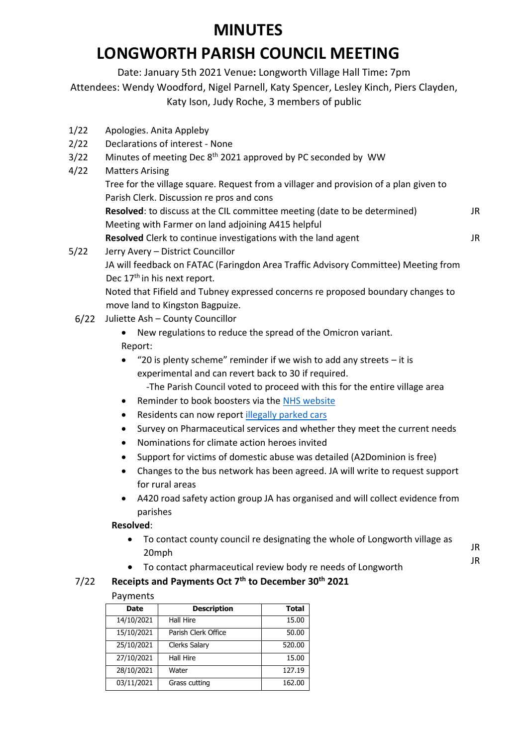# **LONGWORTH PARISH COUNCIL MEETING**

Date: January 5th 2021 Venue**:** Longworth Village Hall Time**:** 7pm Attendees: Wendy Woodford, Nigel Parnell, Katy Spencer, Lesley Kinch, Piers Clayden, Katy Ison, Judy Roche, 3 members of public

- 1/22 Apologies. Anita Appleby
- 2/22 Declarations of interest None
- 3/22 Minutes of meeting Dec 8<sup>th</sup> 2021 approved by PC seconded by WW
- 4/22 Matters Arising
	- Tree for the village square. Request from a villager and provision of a plan given to Parish Clerk. Discussion re pros and cons

**Resolved**: to discuss at the CIL committee meeting (date to be determined) Meeting with Farmer on land adjoining A415 helpful JR

**Resolved** Clerk to continue investigations with the land agent

JR

JR JR

5/22 Jerry Avery – District Councillor JA will feedback on FATAC (Faringdon Area Traffic Advisory Committee) Meeting from Dec 17<sup>th</sup> in his next report.

Noted that Fifield and Tubney expressed concerns re proposed boundary changes to move land to Kingston Bagpuize.

6/22 Juliette Ash – County Councillor

• New regulations to reduce the spread of the Omicron variant. Report:

- "20 is plenty scheme" reminder if we wish to add any streets it is experimental and can revert back to 30 if required.
	- -The Parish Council voted to proceed with this for the entire village area
- Reminder to book boosters via the [NHS website](https://www.nhs.uk/conditions/coronavirus-covid-19/coronavirus-vaccination/book-coronavirus-vaccination/book-or-manage-a-booster-dose-of-the-coronavirus-covid-19-vaccine/)
- Residents can now report [illegally parked cars](https://www.oxfordshire.gov.uk/residents/roads-and-transport/parking/illegal-parking)
- Survey on Pharmaceutical services and whether they meet the current needs
- Nominations for climate action heroes invited
- Support for victims of domestic abuse was detailed (A2Dominion is free)
- Changes to the bus network has been agreed. JA will write to request support for rural areas
- A420 road safety action group JA has organised and will collect evidence from parishes

## **Resolved**:

- To contact county council re designating the whole of Longworth village as 20mph
- To contact pharmaceutical review body re needs of Longworth

## 7/22 **Receipts and Payments Oct 7th to December 30th 2021**

## Payments

| <b>Date</b> | <b>Description</b>  | <b>Total</b> |
|-------------|---------------------|--------------|
| 14/10/2021  | Hall Hire           | 15.00        |
| 15/10/2021  | Parish Clerk Office | 50.00        |
| 25/10/2021  | Clerks Salary       | 520.00       |
| 27/10/2021  | <b>Hall Hire</b>    | 15.00        |
| 28/10/2021  | Water               | 127.19       |
| 03/11/2021  | Grass cutting       | 162.00       |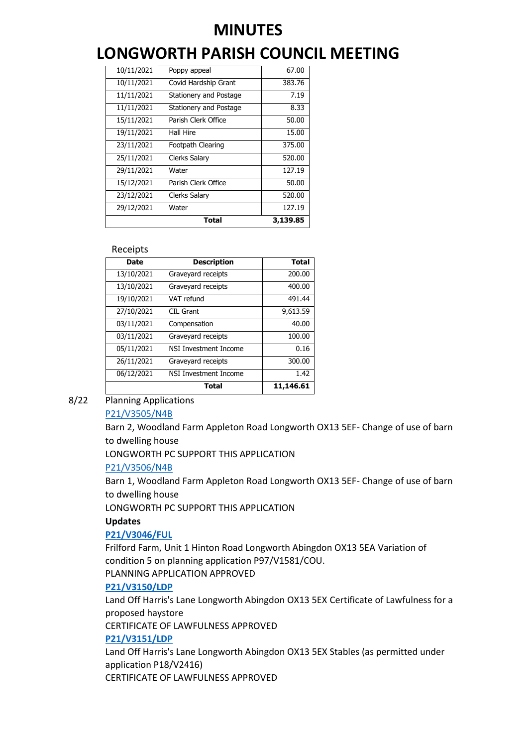# **LONGWORTH PARISH COUNCIL MEETING**

|            | Total                  | 3,139.85 |
|------------|------------------------|----------|
| 29/12/2021 | Water                  | 127.19   |
| 23/12/2021 | Clerks Salary          | 520.00   |
| 15/12/2021 | Parish Clerk Office    | 50.00    |
| 29/11/2021 | Water                  | 127.19   |
| 25/11/2021 | <b>Clerks Salary</b>   | 520.00   |
| 23/11/2021 | Footpath Clearing      | 375.00   |
| 19/11/2021 | Hall Hire              | 15.00    |
| 15/11/2021 | Parish Clerk Office    | 50.00    |
| 11/11/2021 | Stationery and Postage | 8.33     |
| 11/11/2021 | Stationery and Postage | 7.19     |
| 10/11/2021 | Covid Hardship Grant   | 383.76   |
| 10/11/2021 | Poppy appeal           | 67.00    |

#### Receipts

| Date       | <b>Description</b>    | <b>Total</b> |
|------------|-----------------------|--------------|
| 13/10/2021 | Graveyard receipts    | 200.00       |
| 13/10/2021 | Graveyard receipts    | 400.00       |
| 19/10/2021 | VAT refund            | 491.44       |
| 27/10/2021 | CIL Grant             | 9,613.59     |
| 03/11/2021 | Compensation          | 40.00        |
| 03/11/2021 | Graveyard receipts    | 100.00       |
| 05/11/2021 | NSI Investment Income | 0.16         |
| 26/11/2021 | Graveyard receipts    | 300.00       |
| 06/12/2021 | NSI Investment Income | 1.42         |
|            | <b>Total</b>          | 11,146.61    |

## 8/22 Planning Applications

## [P21/V3505/N4B](https://data.whitehorsedc.gov.uk/java/support/Main.jsp?MODULE=ApplicationDetails&REF=P21/V3505/N4B#exactline)

Barn 2, Woodland Farm Appleton Road Longworth OX13 5EF- Change of use of barn to dwelling house

LONGWORTH PC SUPPORT THIS APPLICATION

#### [P21/V3506/N4B](https://data.whitehorsedc.gov.uk/java/support/Main.jsp?MODULE=ApplicationDetails&REF=P21/V3506/N4B#exactline)

Barn 1, Woodland Farm Appleton Road Longworth OX13 5EF- Change of use of barn to dwelling house

LONGWORTH PC SUPPORT THIS APPLICATION

#### **Updates**

## **[P21/V3046/FUL](https://data.whitehorsedc.gov.uk/java/support/Main.jsp?MODULE=ApplicationDetails&REF=P21/V3046/FUL#exactline)**

Frilford Farm, Unit 1 Hinton Road Longworth Abingdon OX13 5EA Variation of condition 5 on planning application P97/V1581/COU.

PLANNING APPLICATION APPROVED

## **[P21/V3150/LDP](https://data.whitehorsedc.gov.uk/java/support/Main.jsp?MODULE=ApplicationDetails&REF=P21/V3150/LDP#exactline)**

Land Off Harris's Lane Longworth Abingdon OX13 5EX Certificate of Lawfulness for a proposed haystore

CERTIFICATE OF LAWFULNESS APPROVED

## **[P21/V3151/LDP](https://data.whitehorsedc.gov.uk/java/support/Main.jsp?MODULE=ApplicationDetails&REF=P21/V3151/LDP#exactline)**

Land Off Harris's Lane Longworth Abingdon OX13 5EX Stables (as permitted under application P18/V2416)

CERTIFICATE OF LAWFULNESS APPROVED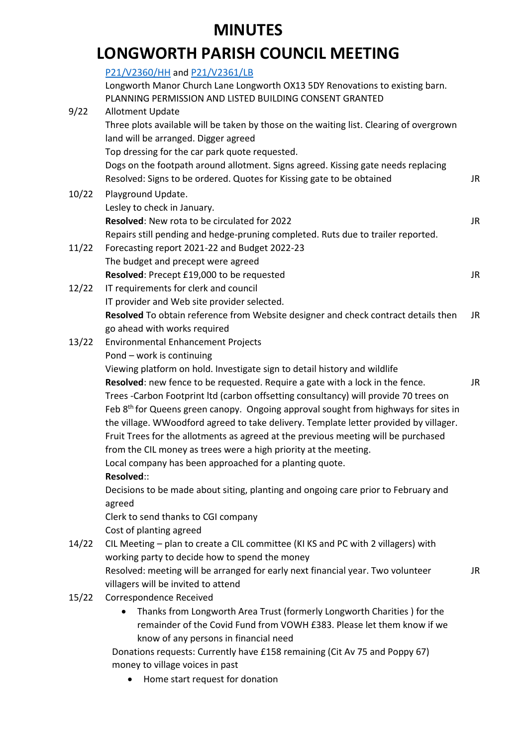# **LONGWORTH PARISH COUNCIL MEETING**

[P21/V2360/HH](https://data.whitehorsedc.gov.uk/java/support/Main.jsp?MODULE=ApplicationDetails&REF=P21/V2360/HH) and [P21/V2361/LB](https://data.whitehorsedc.gov.uk/java/support/Main.jsp?MODULE=ApplicationDetails&REF=P21/V2361/LB)

|       | Longworth Manor Church Lane Longworth OX13 5DY Renovations to existing barn.<br>PLANNING PERMISSION AND LISTED BUILDING CONSENT GRANTED |     |
|-------|-----------------------------------------------------------------------------------------------------------------------------------------|-----|
| 9/22  | <b>Allotment Update</b>                                                                                                                 |     |
|       | Three plots available will be taken by those on the waiting list. Clearing of overgrown                                                 |     |
|       | land will be arranged. Digger agreed                                                                                                    |     |
|       | Top dressing for the car park quote requested.                                                                                          |     |
|       | Dogs on the footpath around allotment. Signs agreed. Kissing gate needs replacing                                                       |     |
|       | Resolved: Signs to be ordered. Quotes for Kissing gate to be obtained                                                                   | JR  |
| 10/22 | Playground Update.                                                                                                                      |     |
|       | Lesley to check in January.                                                                                                             |     |
|       | Resolved: New rota to be circulated for 2022                                                                                            | JR. |
|       | Repairs still pending and hedge-pruning completed. Ruts due to trailer reported.                                                        |     |
| 11/22 | Forecasting report 2021-22 and Budget 2022-23                                                                                           |     |
|       | The budget and precept were agreed                                                                                                      |     |
|       | Resolved: Precept £19,000 to be requested                                                                                               | JR  |
| 12/22 | IT requirements for clerk and council                                                                                                   |     |
|       | IT provider and Web site provider selected.                                                                                             |     |
|       | Resolved To obtain reference from Website designer and check contract details then                                                      | JR  |
|       | go ahead with works required                                                                                                            |     |
| 13/22 | <b>Environmental Enhancement Projects</b>                                                                                               |     |
|       | Pond - work is continuing                                                                                                               |     |
|       | Viewing platform on hold. Investigate sign to detail history and wildlife                                                               |     |
|       | Resolved: new fence to be requested. Require a gate with a lock in the fence.                                                           | JR  |
|       | Trees -Carbon Footprint ltd (carbon offsetting consultancy) will provide 70 trees on                                                    |     |
|       | Feb 8 <sup>th</sup> for Queens green canopy. Ongoing approval sought from highways for sites in                                         |     |
|       | the village. WWoodford agreed to take delivery. Template letter provided by villager.                                                   |     |
|       | Fruit Trees for the allotments as agreed at the previous meeting will be purchased                                                      |     |
|       | from the CIL money as trees were a high priority at the meeting.                                                                        |     |
|       | Local company has been approached for a planting quote.                                                                                 |     |
|       | Resolved::                                                                                                                              |     |
|       | Decisions to be made about siting, planting and ongoing care prior to February and<br>agreed                                            |     |
|       | Clerk to send thanks to CGI company                                                                                                     |     |
|       | Cost of planting agreed                                                                                                                 |     |
| 14/22 | CIL Meeting - plan to create a CIL committee (KI KS and PC with 2 villagers) with                                                       |     |
|       | working party to decide how to spend the money                                                                                          |     |
|       | Resolved: meeting will be arranged for early next financial year. Two volunteer                                                         | JR  |
|       | villagers will be invited to attend                                                                                                     |     |
| 15/22 | Correspondence Received                                                                                                                 |     |
|       | Thanks from Longworth Area Trust (formerly Longworth Charities) for the                                                                 |     |
|       | remainder of the Covid Fund from VOWH £383. Please let them know if we                                                                  |     |
|       | know of any persons in financial need                                                                                                   |     |
|       | Donations requests: Currently have £158 remaining (Cit Av 75 and Poppy 67)                                                              |     |
|       | money to village voices in past                                                                                                         |     |

• Home start request for donation